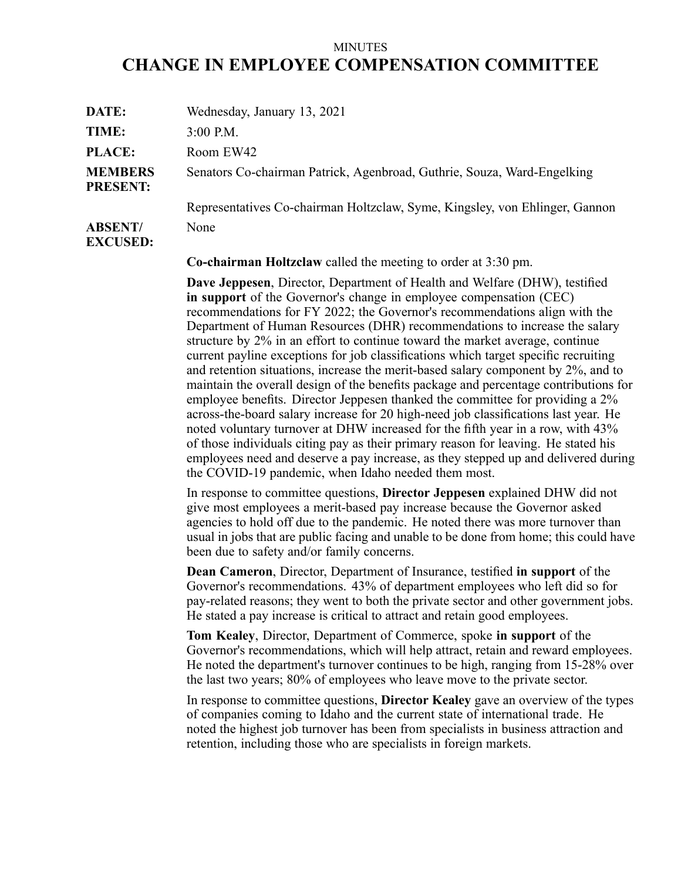## MINUTES **CHANGE IN EMPLOYEE COMPENSATION COMMITTEE**

| DATE:                             | Wednesday, January 13, 2021                                                 |
|-----------------------------------|-----------------------------------------------------------------------------|
| TIME:                             | $3:00$ P.M.                                                                 |
| <b>PLACE:</b>                     | Room EW42                                                                   |
| <b>MEMBERS</b><br><b>PRESENT:</b> | Senators Co-chairman Patrick, Agenbroad, Guthrie, Souza, Ward-Engelking     |
|                                   | Representatives Co-chairman Holtzclaw, Syme, Kingsley, von Ehlinger, Gannon |
| <b>ABSENT/</b><br><b>EXCUSED:</b> | None                                                                        |

**Co-chairman Holtzclaw** called the meeting to order at 3:30 pm.

**Dave Jeppesen**, Director, Department of Health and Welfare (DHW), testified **in suppor<sup>t</sup>** of the Governor's change in employee compensation (CEC) recommendations for FY 2022; the Governor's recommendations align with the Department of Human Resources (DHR) recommendations to increase the salary structure by 2% in an effort to continue toward the market average, continue current payline exceptions for job classifications which target specific recruiting and retention situations, increase the merit-based salary componen<sup>t</sup> by 2%, and to maintain the overall design of the benefits package and percentage contributions for employee benefits. Director Jeppesen thanked the committee for providing <sup>a</sup> 2% across-the-board salary increase for 20 high-need job classifications last year. He noted voluntary turnover at DHW increased for the fifth year in <sup>a</sup> row, with 43% of those individuals citing pay as their primary reason for leaving. He stated his employees need and deserve <sup>a</sup> pay increase, as they stepped up and delivered during the COVID-19 pandemic, when Idaho needed them most.

In response to committee questions, **Director Jeppesen** explained DHW did not give most employees <sup>a</sup> merit-based pay increase because the Governor asked agencies to hold off due to the pandemic. He noted there was more turnover than usual in jobs that are public facing and unable to be done from home; this could have been due to safety and/or family concerns.

**Dean Cameron**, Director, Department of Insurance, testified **in suppor<sup>t</sup>** of the Governor's recommendations. 43% of department employees who left did so for pay-related reasons; they went to both the private sector and other governmen<sup>t</sup> jobs. He stated <sup>a</sup> pay increase is critical to attract and retain good employees.

**Tom Kealey**, Director, Department of Commerce, spoke **in suppor<sup>t</sup>** of the Governor's recommendations, which will help attract, retain and reward employees. He noted the department's turnover continues to be high, ranging from 15-28% over the last two years; 80% of employees who leave move to the private sector.

In response to committee questions, **Director Kealey** gave an overview of the types of companies coming to Idaho and the current state of international trade. He noted the highest job turnover has been from specialists in business attraction and retention, including those who are specialists in foreign markets.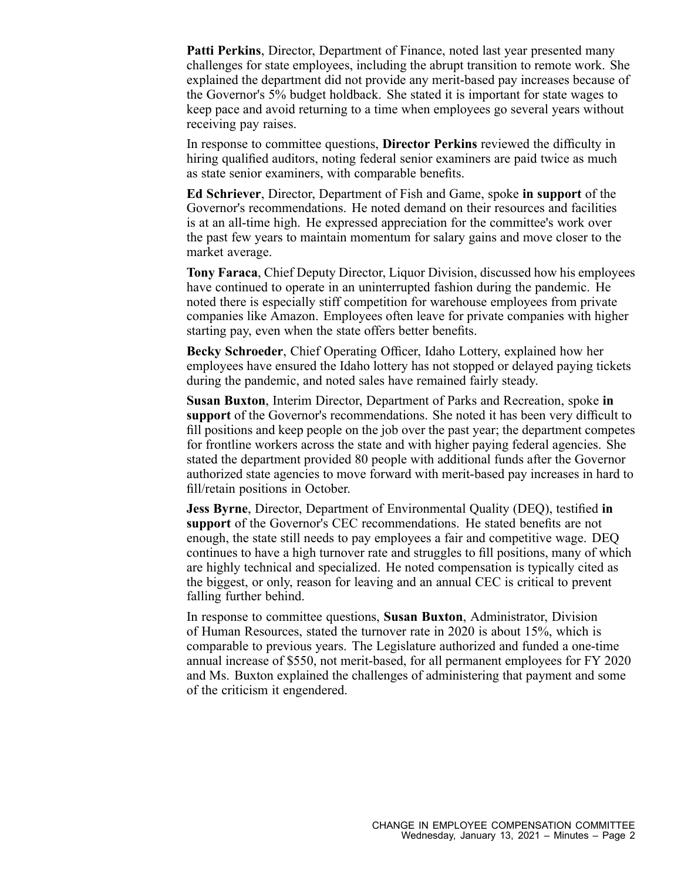**Patti Perkins**, Director, Department of Finance, noted last year presented many challenges for state employees, including the abrupt transition to remote work. She explained the department did not provide any merit-based pay increases because of the Governor's 5% budget holdback. She stated it is important for state wages to keep pace and avoid returning to <sup>a</sup> time when employees go several years without receiving pay raises.

In response to committee questions, **Director Perkins** reviewed the difficulty in hiring qualified auditors, noting federal senior examiners are paid twice as much as state senior examiners, with comparable benefits.

**Ed Schriever**, Director, Department of Fish and Game, spoke **in suppor<sup>t</sup>** of the Governor's recommendations. He noted demand on their resources and facilities is at an all-time high. He expressed appreciation for the committee's work over the pas<sup>t</sup> few years to maintain momentum for salary gains and move closer to the market average.

**Tony Faraca**, Chief Deputy Director, Liquor Division, discussed how his employees have continued to operate in an uninterrupted fashion during the pandemic. He noted there is especially stiff competition for warehouse employees from private companies like Amazon. Employees often leave for private companies with higher starting pay, even when the state offers better benefits.

**Becky Schroeder**, Chief Operating Officer, Idaho Lottery, explained how her employees have ensured the Idaho lottery has not stopped or delayed paying tickets during the pandemic, and noted sales have remained fairly steady.

**Susan Buxton**, Interim Director, Department of Parks and Recreation, spoke **in suppor<sup>t</sup>** of the Governor's recommendations. She noted it has been very difficult to fill positions and keep people on the job over the pas<sup>t</sup> year; the department competes for frontline workers across the state and with higher paying federal agencies. She stated the department provided 80 people with additional funds after the Governor authorized state agencies to move forward with merit-based pay increases in hard to fill/retain positions in October.

**Jess Byrne**, Director, Department of Environmental Quality (DEQ), testified **in suppor<sup>t</sup>** of the Governor's CEC recommendations. He stated benefits are not enough, the state still needs to pay employees <sup>a</sup> fair and competitive wage. DEQ continues to have <sup>a</sup> high turnover rate and struggles to fill positions, many of which are highly technical and specialized. He noted compensation is typically cited as the biggest, or only, reason for leaving and an annual CEC is critical to preven<sup>t</sup> falling further behind.

In response to committee questions, **Susan Buxton**, Administrator, Division of Human Resources, stated the turnover rate in 2020 is about 15%, which is comparable to previous years. The Legislature authorized and funded <sup>a</sup> one-time annual increase of \$550, not merit-based, for all permanen<sup>t</sup> employees for FY 2020 and Ms. Buxton explained the challenges of administering that paymen<sup>t</sup> and some of the criticism it engendered.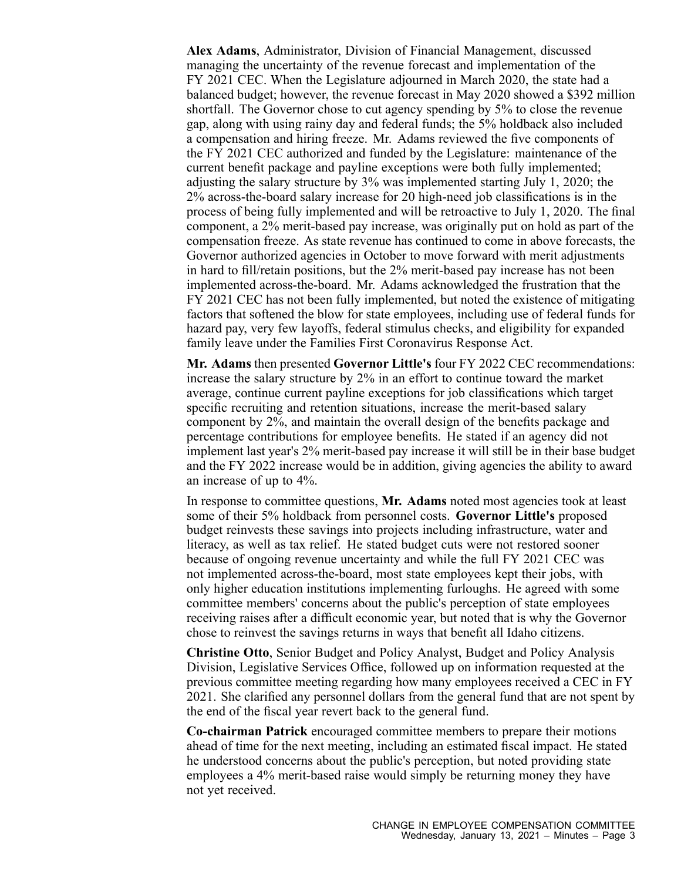**Alex Adams**, Administrator, Division of Financial Management, discussed managing the uncertainty of the revenue forecast and implementation of the FY 2021 CEC. When the Legislature adjourned in March 2020, the state had <sup>a</sup> balanced budget; however, the revenue forecast in May 2020 showed <sup>a</sup> \$392 million shortfall. The Governor chose to cut agency spending by 5% to close the revenue gap, along with using rainy day and federal funds; the 5% holdback also included <sup>a</sup> compensation and hiring freeze. Mr. Adams reviewed the five components of the FY 2021 CEC authorized and funded by the Legislature: maintenance of the current benefit package and payline exceptions were both fully implemented; adjusting the salary structure by 3% was implemented starting July 1, 2020; the 2% across-the-board salary increase for 20 high-need job classifications is in the process of being fully implemented and will be retroactive to July 1, 2020. The final component, <sup>a</sup> 2% merit-based pay increase, was originally pu<sup>t</sup> on hold as par<sup>t</sup> of the compensation freeze. As state revenue has continued to come in above forecasts, the Governor authorized agencies in October to move forward with merit adjustments in hard to fill/retain positions, but the 2% merit-based pay increase has not been implemented across-the-board. Mr. Adams acknowledged the frustration that the FY 2021 CEC has not been fully implemented, but noted the existence of mitigating factors that softened the blow for state employees, including use of federal funds for hazard pay, very few layoffs, federal stimulus checks, and eligibility for expanded family leave under the Families First Coronavirus Response Act.

**Mr. Adams** then presented **Governor Little's** four FY 2022 CEC recommendations: increase the salary structure by 2% in an effort to continue toward the market average, continue current payline exceptions for job classifications which target specific recruiting and retention situations, increase the merit-based salary componen<sup>t</sup> by 2%, and maintain the overall design of the benefits package and percentage contributions for employee benefits. He stated if an agency did not implement last year's 2% merit-based pay increase it will still be in their base budget and the FY 2022 increase would be in addition, giving agencies the ability to award an increase of up to 4%.

In response to committee questions, **Mr. Adams** noted most agencies took at least some of their 5% holdback from personnel costs. **Governor Little's** proposed budget reinvests these savings into projects including infrastructure, water and literacy, as well as tax relief. He stated budget cuts were not restored sooner because of ongoing revenue uncertainty and while the full FY 2021 CEC was not implemented across-the-board, most state employees kept their jobs, with only higher education institutions implementing furloughs. He agreed with some committee members' concerns about the public's perception of state employees receiving raises after <sup>a</sup> difficult economic year, but noted that is why the Governor chose to reinvest the savings returns in ways that benefit all Idaho citizens.

**Christine Otto**, Senior Budget and Policy Analyst, Budget and Policy Analysis Division, Legislative Services Office, followed up on information requested at the previous committee meeting regarding how many employees received <sup>a</sup> CEC in FY 2021. She clarified any personnel dollars from the general fund that are not spen<sup>t</sup> by the end of the fiscal year revert back to the general fund.

**Co-chairman Patrick** encouraged committee members to prepare their motions ahead of time for the next meeting, including an estimated fiscal impact. He stated he understood concerns about the public's perception, but noted providing state employees <sup>a</sup> 4% merit-based raise would simply be returning money they have not ye<sup>t</sup> received.